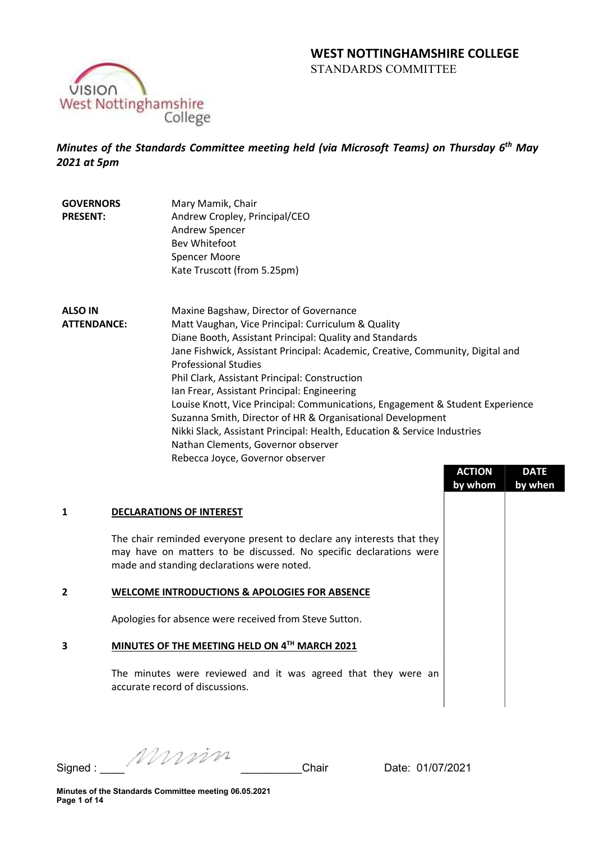# WEST NOTTINGHAMSHIRE COLLEGE STANDARDS COMMITTEE



Minutes of the Standards Committee meeting held (via Microsoft Teams) on Thursday 6<sup>th</sup> May 2021 at 5pm

- **GOVERNORS** PRESENT: Mary Mamik, Chair Andrew Cropley, Principal/CEO Andrew Spencer Bev Whitefoot Spencer Moore Kate Truscott (from 5.25pm)
- ALSO IN ATTENDANCE: Maxine Bagshaw, Director of Governance Matt Vaughan, Vice Principal: Curriculum & Quality Diane Booth, Assistant Principal: Quality and Standards Jane Fishwick, Assistant Principal: Academic, Creative, Community, Digital and Professional Studies Phil Clark, Assistant Principal: Construction Ian Frear, Assistant Principal: Engineering Louise Knott, Vice Principal: Communications, Engagement & Student Experience Suzanna Smith, Director of HR & Organisational Development Nikki Slack, Assistant Principal: Health, Education & Service Industries Nathan Clements, Governor observer Rebecca Joyce, Governor observer

|                |                                                                                                                                                                                            | <b>ACTION</b><br>by whom | <b>DATE</b><br>by when |
|----------------|--------------------------------------------------------------------------------------------------------------------------------------------------------------------------------------------|--------------------------|------------------------|
| 1              | <b>DECLARATIONS OF INTEREST</b>                                                                                                                                                            |                          |                        |
|                | The chair reminded everyone present to declare any interests that they<br>may have on matters to be discussed. No specific declarations were<br>made and standing declarations were noted. |                          |                        |
| $\overline{2}$ | WELCOME INTRODUCTIONS & APOLOGIES FOR ABSENCE                                                                                                                                              |                          |                        |
|                | Apologies for absence were received from Steve Sutton.                                                                                                                                     |                          |                        |
| 3              | MINUTES OF THE MEETING HELD ON 4TH MARCH 2021                                                                                                                                              |                          |                        |
|                | The minutes were reviewed and it was agreed that they were an<br>accurate record of discussions.                                                                                           |                          |                        |

Signed : \_\_\_\_ \_\_\_\_\_\_\_\_\_\_Chair Date: 01/07/2021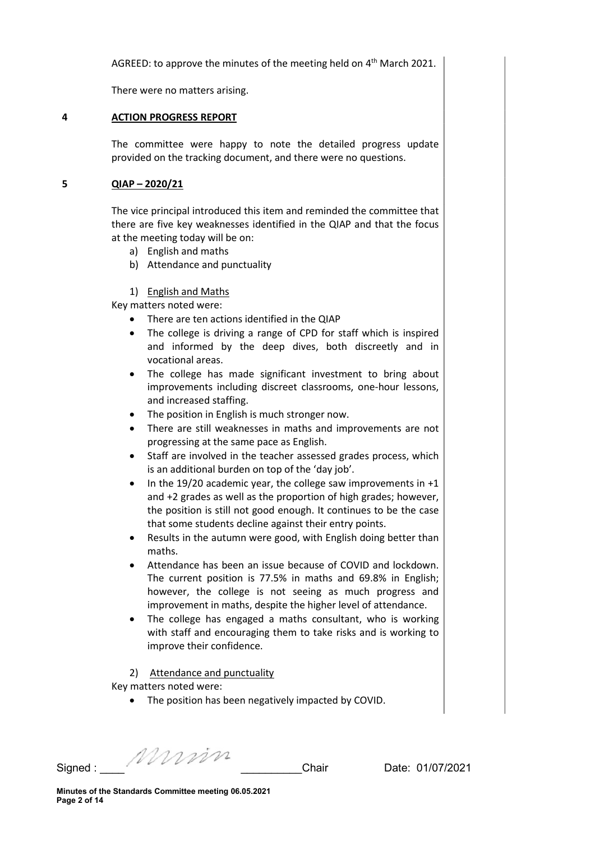AGREED: to approve the minutes of the meeting held on  $4<sup>th</sup>$  March 2021.

There were no matters arising.

## 4 ACTION PROGRESS REPORT

The committee were happy to note the detailed progress update provided on the tracking document, and there were no questions.

## 5 QIAP – 2020/21

The vice principal introduced this item and reminded the committee that there are five key weaknesses identified in the QIAP and that the focus at the meeting today will be on:

- a) English and maths
- b) Attendance and punctuality

## 1) English and Maths

Key matters noted were:

- There are ten actions identified in the QIAP
- The college is driving a range of CPD for staff which is inspired and informed by the deep dives, both discreetly and in vocational areas.
- The college has made significant investment to bring about improvements including discreet classrooms, one-hour lessons, and increased staffing.
- The position in English is much stronger now.
- There are still weaknesses in maths and improvements are not progressing at the same pace as English.
- Staff are involved in the teacher assessed grades process, which is an additional burden on top of the 'day job'.
- $\bullet$  In the 19/20 academic year, the college saw improvements in +1 and +2 grades as well as the proportion of high grades; however, the position is still not good enough. It continues to be the case that some students decline against their entry points.
- Results in the autumn were good, with English doing better than maths.
- Attendance has been an issue because of COVID and lockdown. The current position is 77.5% in maths and 69.8% in English; however, the college is not seeing as much progress and improvement in maths, despite the higher level of attendance.
- The college has engaged a maths consultant, who is working with staff and encouraging them to take risks and is working to improve their confidence.

#### 2) Attendance and punctuality

Key matters noted were:

The position has been negatively impacted by COVID.

Signed : \_\_\_\_ \_\_\_\_\_\_\_\_\_\_Chair Date: 01/07/2021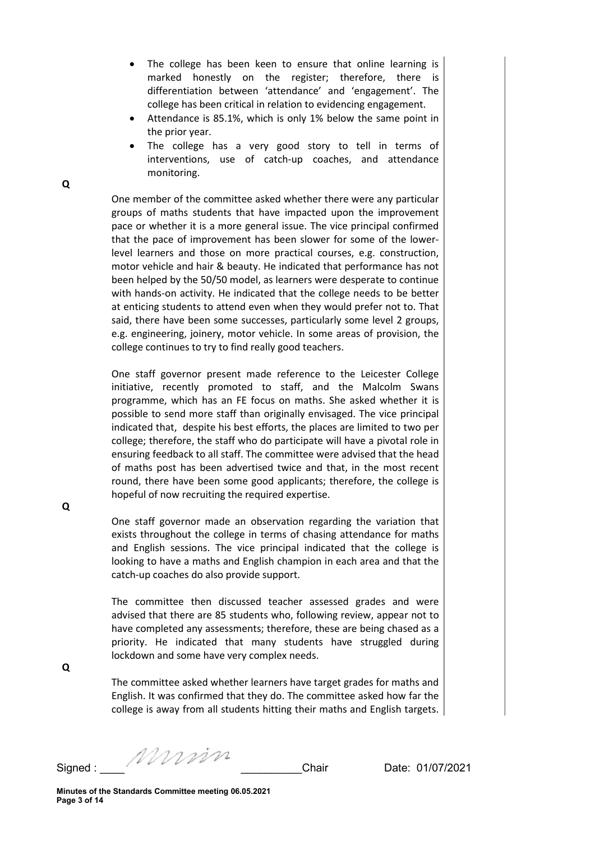- The college has been keen to ensure that online learning is marked honestly on the register; therefore, there is differentiation between 'attendance' and 'engagement'. The college has been critical in relation to evidencing engagement.
- Attendance is 85.1%, which is only 1% below the same point in the prior year.
- The college has a very good story to tell in terms of interventions, use of catch-up coaches, and attendance monitoring.

One member of the committee asked whether there were any particular groups of maths students that have impacted upon the improvement pace or whether it is a more general issue. The vice principal confirmed that the pace of improvement has been slower for some of the lowerlevel learners and those on more practical courses, e.g. construction, motor vehicle and hair & beauty. He indicated that performance has not been helped by the 50/50 model, as learners were desperate to continue with hands-on activity. He indicated that the college needs to be better at enticing students to attend even when they would prefer not to. That said, there have been some successes, particularly some level 2 groups, e.g. engineering, joinery, motor vehicle. In some areas of provision, the college continues to try to find really good teachers.

One staff governor present made reference to the Leicester College initiative, recently promoted to staff, and the Malcolm Swans programme, which has an FE focus on maths. She asked whether it is possible to send more staff than originally envisaged. The vice principal indicated that, despite his best efforts, the places are limited to two per college; therefore, the staff who do participate will have a pivotal role in ensuring feedback to all staff. The committee were advised that the head of maths post has been advertised twice and that, in the most recent round, there have been some good applicants; therefore, the college is hopeful of now recruiting the required expertise.

One staff governor made an observation regarding the variation that exists throughout the college in terms of chasing attendance for maths and English sessions. The vice principal indicated that the college is looking to have a maths and English champion in each area and that the catch-up coaches do also provide support.

The committee then discussed teacher assessed grades and were advised that there are 85 students who, following review, appear not to have completed any assessments; therefore, these are being chased as a priority. He indicated that many students have struggled during lockdown and some have very complex needs.

The committee asked whether learners have target grades for maths and English. It was confirmed that they do. The committee asked how far the college is away from all students hitting their maths and English targets.

Q

Signed : \_\_\_\_ \_\_\_\_\_\_\_\_\_\_Chair Date: 01/07/2021

Q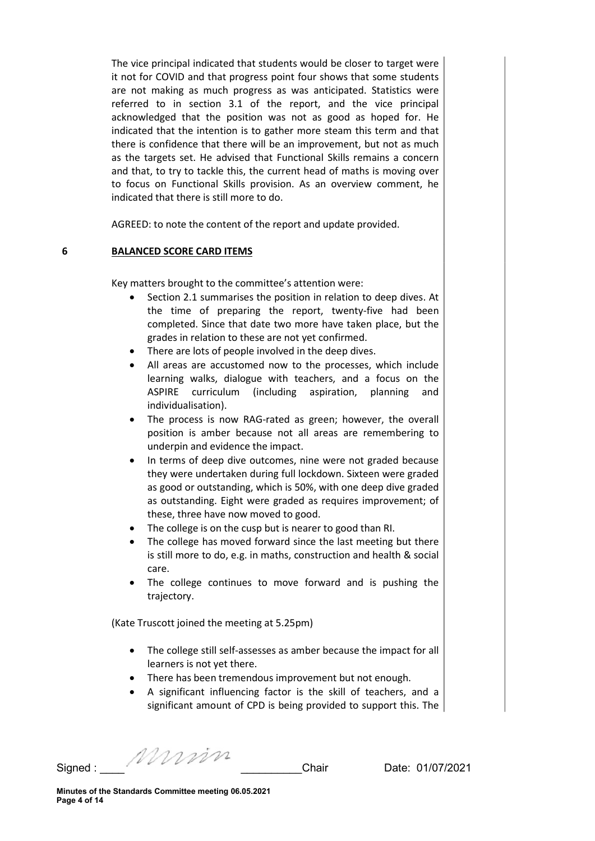The vice principal indicated that students would be closer to target were it not for COVID and that progress point four shows that some students are not making as much progress as was anticipated. Statistics were referred to in section 3.1 of the report, and the vice principal acknowledged that the position was not as good as hoped for. He indicated that the intention is to gather more steam this term and that there is confidence that there will be an improvement, but not as much as the targets set. He advised that Functional Skills remains a concern and that, to try to tackle this, the current head of maths is moving over to focus on Functional Skills provision. As an overview comment, he indicated that there is still more to do.

AGREED: to note the content of the report and update provided.

#### 6 BALANCED SCORE CARD ITEMS

Key matters brought to the committee's attention were:

- Section 2.1 summarises the position in relation to deep dives. At the time of preparing the report, twenty-five had been completed. Since that date two more have taken place, but the grades in relation to these are not yet confirmed.
- There are lots of people involved in the deep dives.
- All areas are accustomed now to the processes, which include learning walks, dialogue with teachers, and a focus on the ASPIRE curriculum (including aspiration, planning and individualisation).
- The process is now RAG-rated as green; however, the overall position is amber because not all areas are remembering to underpin and evidence the impact.
- In terms of deep dive outcomes, nine were not graded because they were undertaken during full lockdown. Sixteen were graded as good or outstanding, which is 50%, with one deep dive graded as outstanding. Eight were graded as requires improvement; of these, three have now moved to good.
- The college is on the cusp but is nearer to good than RI.
- The college has moved forward since the last meeting but there is still more to do, e.g. in maths, construction and health & social care.
- The college continues to move forward and is pushing the trajectory.

(Kate Truscott joined the meeting at 5.25pm)

- The college still self-assesses as amber because the impact for all learners is not yet there.
- There has been tremendous improvement but not enough.
- A significant influencing factor is the skill of teachers, and a significant amount of CPD is being provided to support this. The

Signed : \_\_\_\_ \_\_\_\_\_\_\_\_\_\_Chair Date: 01/07/2021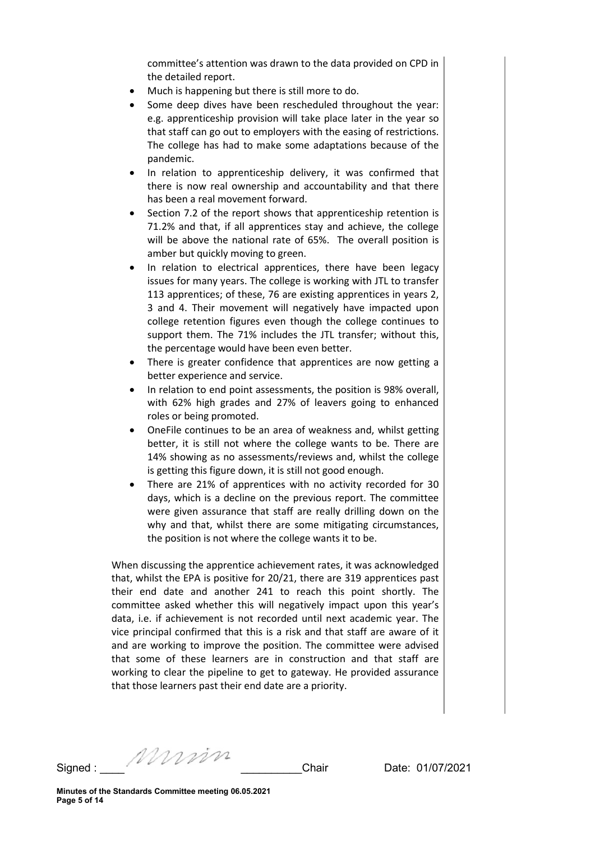committee's attention was drawn to the data provided on CPD in the detailed report.

- Much is happening but there is still more to do.
- Some deep dives have been rescheduled throughout the year: e.g. apprenticeship provision will take place later in the year so that staff can go out to employers with the easing of restrictions. The college has had to make some adaptations because of the pandemic.
- In relation to apprenticeship delivery, it was confirmed that there is now real ownership and accountability and that there has been a real movement forward.
- Section 7.2 of the report shows that apprenticeship retention is 71.2% and that, if all apprentices stay and achieve, the college will be above the national rate of 65%. The overall position is amber but quickly moving to green.
- In relation to electrical apprentices, there have been legacy issues for many years. The college is working with JTL to transfer 113 apprentices; of these, 76 are existing apprentices in years 2, 3 and 4. Their movement will negatively have impacted upon college retention figures even though the college continues to support them. The 71% includes the JTL transfer; without this, the percentage would have been even better.
- There is greater confidence that apprentices are now getting a better experience and service.
- In relation to end point assessments, the position is 98% overall, with 62% high grades and 27% of leavers going to enhanced roles or being promoted.
- OneFile continues to be an area of weakness and, whilst getting better, it is still not where the college wants to be. There are 14% showing as no assessments/reviews and, whilst the college is getting this figure down, it is still not good enough.
- There are 21% of apprentices with no activity recorded for 30 days, which is a decline on the previous report. The committee were given assurance that staff are really drilling down on the why and that, whilst there are some mitigating circumstances, the position is not where the college wants it to be.

When discussing the apprentice achievement rates, it was acknowledged that, whilst the EPA is positive for 20/21, there are 319 apprentices past their end date and another 241 to reach this point shortly. The committee asked whether this will negatively impact upon this year's data, i.e. if achievement is not recorded until next academic year. The vice principal confirmed that this is a risk and that staff are aware of it and are working to improve the position. The committee were advised that some of these learners are in construction and that staff are working to clear the pipeline to get to gateway. He provided assurance that those learners past their end date are a priority.

Signed : \_\_\_\_ \_\_\_\_\_\_\_\_\_\_Chair Date: 01/07/2021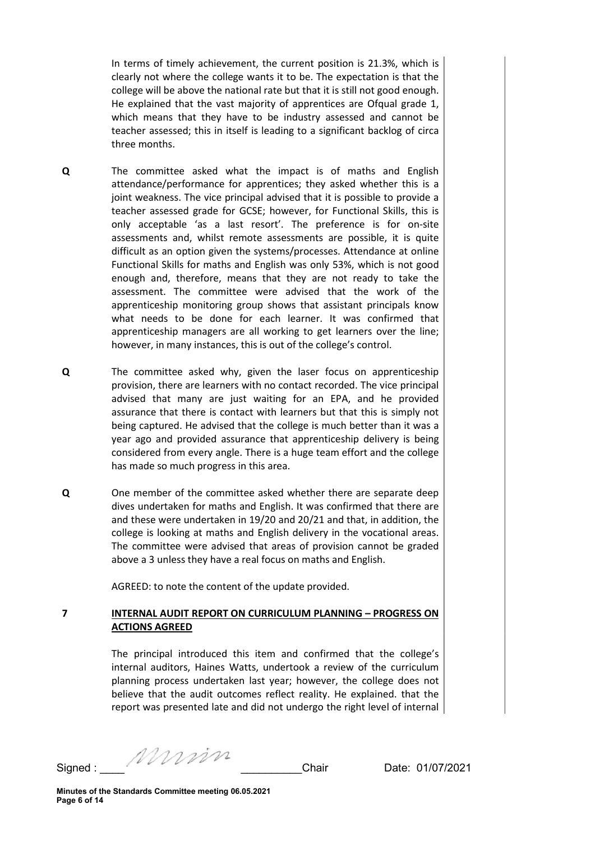In terms of timely achievement, the current position is 21.3%, which is clearly not where the college wants it to be. The expectation is that the college will be above the national rate but that it is still not good enough. He explained that the vast majority of apprentices are Ofqual grade 1, which means that they have to be industry assessed and cannot be teacher assessed; this in itself is leading to a significant backlog of circa three months.

- Q The committee asked what the impact is of maths and English attendance/performance for apprentices; they asked whether this is a joint weakness. The vice principal advised that it is possible to provide a teacher assessed grade for GCSE; however, for Functional Skills, this is only acceptable 'as a last resort'. The preference is for on-site assessments and, whilst remote assessments are possible, it is quite difficult as an option given the systems/processes. Attendance at online Functional Skills for maths and English was only 53%, which is not good enough and, therefore, means that they are not ready to take the assessment. The committee were advised that the work of the apprenticeship monitoring group shows that assistant principals know what needs to be done for each learner. It was confirmed that apprenticeship managers are all working to get learners over the line; however, in many instances, this is out of the college's control.
- Q The committee asked why, given the laser focus on apprenticeship provision, there are learners with no contact recorded. The vice principal advised that many are just waiting for an EPA, and he provided assurance that there is contact with learners but that this is simply not being captured. He advised that the college is much better than it was a year ago and provided assurance that apprenticeship delivery is being considered from every angle. There is a huge team effort and the college has made so much progress in this area.
- Q One member of the committee asked whether there are separate deep dives undertaken for maths and English. It was confirmed that there are and these were undertaken in 19/20 and 20/21 and that, in addition, the college is looking at maths and English delivery in the vocational areas. The committee were advised that areas of provision cannot be graded above a 3 unless they have a real focus on maths and English.

AGREED: to note the content of the update provided.

## 7 INTERNAL AUDIT REPORT ON CURRICULUM PLANNING – PROGRESS ON ACTIONS AGREED

The principal introduced this item and confirmed that the college's internal auditors, Haines Watts, undertook a review of the curriculum planning process undertaken last year; however, the college does not believe that the audit outcomes reflect reality. He explained. that the report was presented late and did not undergo the right level of internal

Signed : \_\_\_\_ \_\_\_\_\_\_\_\_\_\_Chair Date: 01/07/2021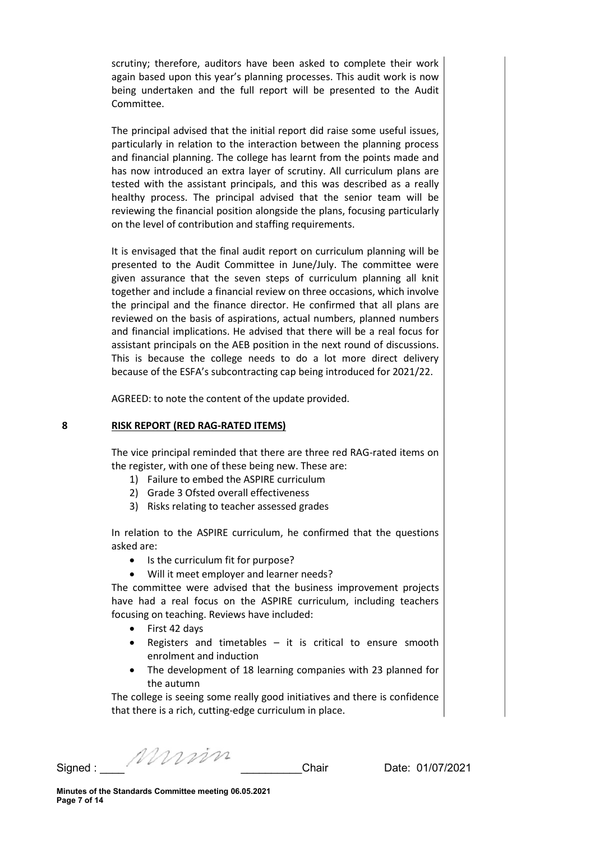scrutiny; therefore, auditors have been asked to complete their work again based upon this year's planning processes. This audit work is now being undertaken and the full report will be presented to the Audit Committee.

The principal advised that the initial report did raise some useful issues, particularly in relation to the interaction between the planning process and financial planning. The college has learnt from the points made and has now introduced an extra layer of scrutiny. All curriculum plans are tested with the assistant principals, and this was described as a really healthy process. The principal advised that the senior team will be reviewing the financial position alongside the plans, focusing particularly on the level of contribution and staffing requirements.

It is envisaged that the final audit report on curriculum planning will be presented to the Audit Committee in June/July. The committee were given assurance that the seven steps of curriculum planning all knit together and include a financial review on three occasions, which involve the principal and the finance director. He confirmed that all plans are reviewed on the basis of aspirations, actual numbers, planned numbers and financial implications. He advised that there will be a real focus for assistant principals on the AEB position in the next round of discussions. This is because the college needs to do a lot more direct delivery because of the ESFA's subcontracting cap being introduced for 2021/22.

AGREED: to note the content of the update provided.

#### 8 RISK REPORT (RED RAG-RATED ITEMS)

The vice principal reminded that there are three red RAG-rated items on the register, with one of these being new. These are:

- 1) Failure to embed the ASPIRE curriculum
- 2) Grade 3 Ofsted overall effectiveness
- 3) Risks relating to teacher assessed grades

In relation to the ASPIRE curriculum, he confirmed that the questions asked are:

- Is the curriculum fit for purpose?
- Will it meet employer and learner needs?

The committee were advised that the business improvement projects have had a real focus on the ASPIRE curriculum, including teachers focusing on teaching. Reviews have included:

- First 42 days
- Registers and timetables  $-$  it is critical to ensure smooth enrolment and induction
- The development of 18 learning companies with 23 planned for the autumn

The college is seeing some really good initiatives and there is confidence that there is a rich, cutting-edge curriculum in place.

Signed : \_\_\_\_ \_\_\_\_\_\_\_\_\_\_Chair Date: 01/07/2021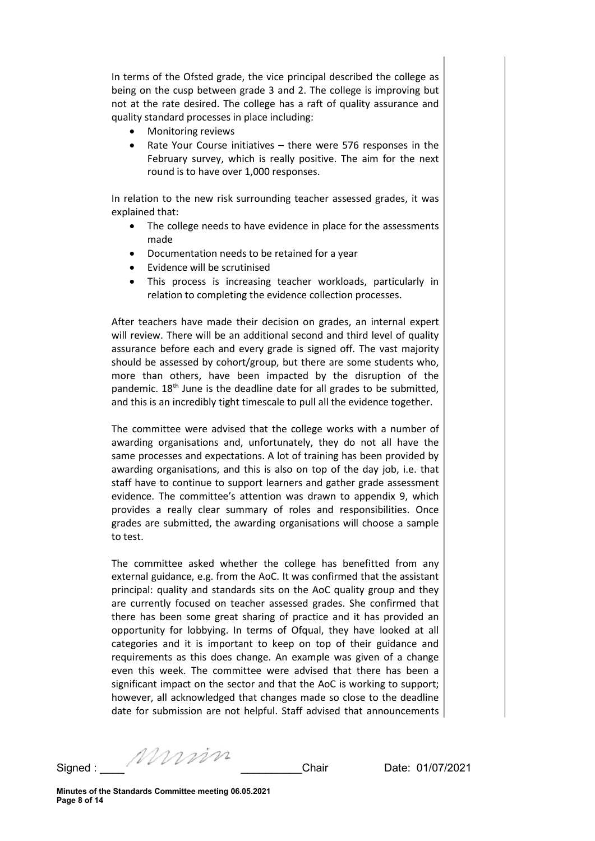In terms of the Ofsted grade, the vice principal described the college as being on the cusp between grade 3 and 2. The college is improving but not at the rate desired. The college has a raft of quality assurance and quality standard processes in place including:

- Monitoring reviews
- Rate Your Course initiatives there were 576 responses in the February survey, which is really positive. The aim for the next round is to have over 1,000 responses.

In relation to the new risk surrounding teacher assessed grades, it was explained that:

- The college needs to have evidence in place for the assessments made
- Documentation needs to be retained for a year
- Evidence will be scrutinised
- This process is increasing teacher workloads, particularly in relation to completing the evidence collection processes.

After teachers have made their decision on grades, an internal expert will review. There will be an additional second and third level of quality assurance before each and every grade is signed off. The vast majority should be assessed by cohort/group, but there are some students who, more than others, have been impacted by the disruption of the pandemic. 18th June is the deadline date for all grades to be submitted, and this is an incredibly tight timescale to pull all the evidence together.

The committee were advised that the college works with a number of awarding organisations and, unfortunately, they do not all have the same processes and expectations. A lot of training has been provided by awarding organisations, and this is also on top of the day job, i.e. that staff have to continue to support learners and gather grade assessment evidence. The committee's attention was drawn to appendix 9, which provides a really clear summary of roles and responsibilities. Once grades are submitted, the awarding organisations will choose a sample to test.

The committee asked whether the college has benefitted from any external guidance, e.g. from the AoC. It was confirmed that the assistant principal: quality and standards sits on the AoC quality group and they are currently focused on teacher assessed grades. She confirmed that there has been some great sharing of practice and it has provided an opportunity for lobbying. In terms of Ofqual, they have looked at all categories and it is important to keep on top of their guidance and requirements as this does change. An example was given of a change even this week. The committee were advised that there has been a significant impact on the sector and that the AoC is working to support; however, all acknowledged that changes made so close to the deadline date for submission are not helpful. Staff advised that announcements

Signed : \_\_\_\_ \_\_\_\_\_\_\_\_\_\_Chair Date: 01/07/2021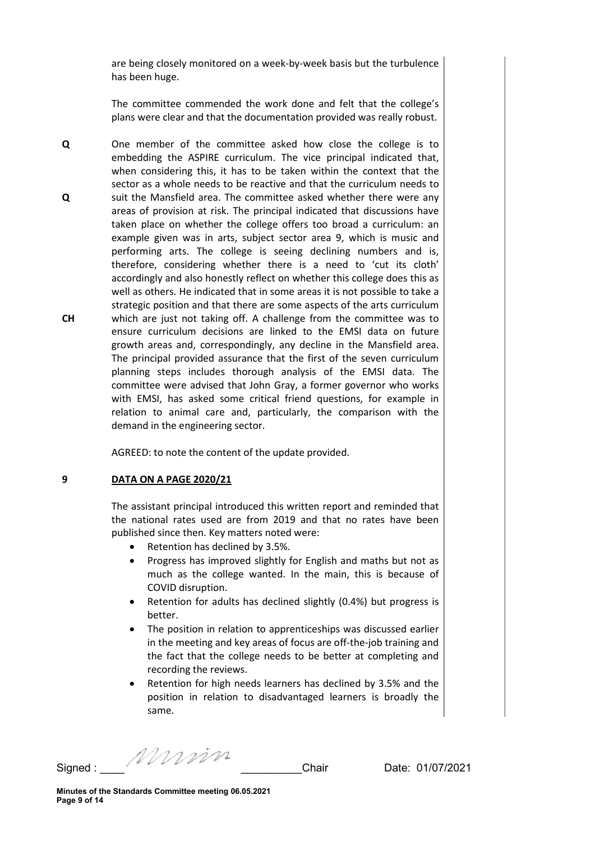are being closely monitored on a week-by-week basis but the turbulence has been huge.

The committee commended the work done and felt that the college's plans were clear and that the documentation provided was really robust.

Q Q CH One member of the committee asked how close the college is to embedding the ASPIRE curriculum. The vice principal indicated that, when considering this, it has to be taken within the context that the sector as a whole needs to be reactive and that the curriculum needs to suit the Mansfield area. The committee asked whether there were any areas of provision at risk. The principal indicated that discussions have taken place on whether the college offers too broad a curriculum: an example given was in arts, subject sector area 9, which is music and performing arts. The college is seeing declining numbers and is, therefore, considering whether there is a need to 'cut its cloth' accordingly and also honestly reflect on whether this college does this as well as others. He indicated that in some areas it is not possible to take a strategic position and that there are some aspects of the arts curriculum which are just not taking off. A challenge from the committee was to ensure curriculum decisions are linked to the EMSI data on future growth areas and, correspondingly, any decline in the Mansfield area. The principal provided assurance that the first of the seven curriculum planning steps includes thorough analysis of the EMSI data. The committee were advised that John Gray, a former governor who works with EMSI, has asked some critical friend questions, for example in relation to animal care and, particularly, the comparison with the demand in the engineering sector.

AGREED: to note the content of the update provided.

#### 9 DATA ON A PAGE 2020/21

The assistant principal introduced this written report and reminded that the national rates used are from 2019 and that no rates have been published since then. Key matters noted were:

- Retention has declined by 3.5%.
- Progress has improved slightly for English and maths but not as much as the college wanted. In the main, this is because of COVID disruption.
- Retention for adults has declined slightly (0.4%) but progress is better.
- The position in relation to apprenticeships was discussed earlier in the meeting and key areas of focus are off-the-job training and the fact that the college needs to be better at completing and recording the reviews.
- Retention for high needs learners has declined by 3.5% and the position in relation to disadvantaged learners is broadly the same.

Signed : \_\_\_\_ \_\_\_\_\_\_\_\_\_\_Chair Date: 01/07/2021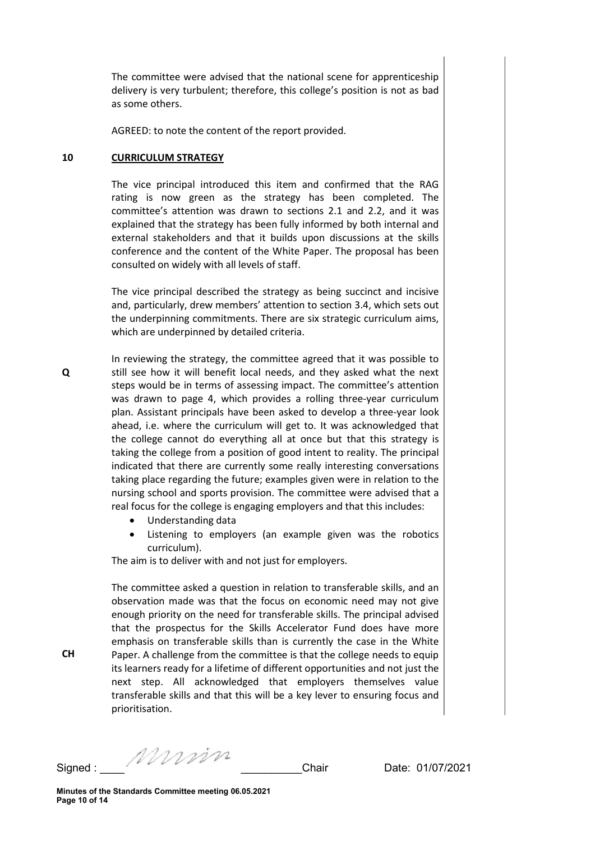The committee were advised that the national scene for apprenticeship delivery is very turbulent; therefore, this college's position is not as bad as some others.

AGREED: to note the content of the report provided.

#### 10 CURRICULUM STRATEGY

The vice principal introduced this item and confirmed that the RAG rating is now green as the strategy has been completed. The committee's attention was drawn to sections 2.1 and 2.2, and it was explained that the strategy has been fully informed by both internal and external stakeholders and that it builds upon discussions at the skills conference and the content of the White Paper. The proposal has been consulted on widely with all levels of staff.

The vice principal described the strategy as being succinct and incisive and, particularly, drew members' attention to section 3.4, which sets out the underpinning commitments. There are six strategic curriculum aims, which are underpinned by detailed criteria.

In reviewing the strategy, the committee agreed that it was possible to still see how it will benefit local needs, and they asked what the next steps would be in terms of assessing impact. The committee's attention was drawn to page 4, which provides a rolling three-year curriculum plan. Assistant principals have been asked to develop a three-year look ahead, i.e. where the curriculum will get to. It was acknowledged that the college cannot do everything all at once but that this strategy is taking the college from a position of good intent to reality. The principal indicated that there are currently some really interesting conversations taking place regarding the future; examples given were in relation to the nursing school and sports provision. The committee were advised that a real focus for the college is engaging employers and that this includes:

- Understanding data
- Listening to employers (an example given was the robotics curriculum).

The aim is to deliver with and not just for employers.

The committee asked a question in relation to transferable skills, and an observation made was that the focus on economic need may not give enough priority on the need for transferable skills. The principal advised that the prospectus for the Skills Accelerator Fund does have more emphasis on transferable skills than is currently the case in the White Paper. A challenge from the committee is that the college needs to equip its learners ready for a lifetime of different opportunities and not just the next step. All acknowledged that employers themselves value transferable skills and that this will be a key lever to ensuring focus and prioritisation.

Signed : \_\_\_\_ \_\_\_\_\_\_\_\_\_\_Chair Date: 01/07/2021

Q

CH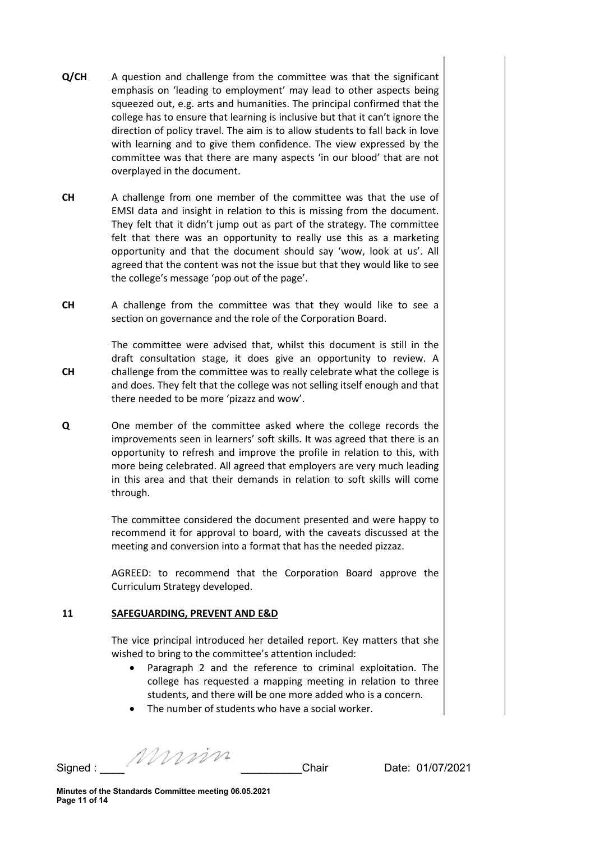- Q/CH A question and challenge from the committee was that the significant emphasis on 'leading to employment' may lead to other aspects being squeezed out, e.g. arts and humanities. The principal confirmed that the college has to ensure that learning is inclusive but that it can't ignore the direction of policy travel. The aim is to allow students to fall back in love with learning and to give them confidence. The view expressed by the committee was that there are many aspects 'in our blood' that are not overplayed in the document.
- CH A challenge from one member of the committee was that the use of EMSI data and insight in relation to this is missing from the document. They felt that it didn't jump out as part of the strategy. The committee felt that there was an opportunity to really use this as a marketing opportunity and that the document should say 'wow, look at us'. All agreed that the content was not the issue but that they would like to see the college's message 'pop out of the page'.
- CH A challenge from the committee was that they would like to see a section on governance and the role of the Corporation Board.

CH The committee were advised that, whilst this document is still in the draft consultation stage, it does give an opportunity to review. A challenge from the committee was to really celebrate what the college is and does. They felt that the college was not selling itself enough and that there needed to be more 'pizazz and wow'.

Q One member of the committee asked where the college records the improvements seen in learners' soft skills. It was agreed that there is an opportunity to refresh and improve the profile in relation to this, with more being celebrated. All agreed that employers are very much leading in this area and that their demands in relation to soft skills will come through.

> The committee considered the document presented and were happy to recommend it for approval to board, with the caveats discussed at the meeting and conversion into a format that has the needed pizzaz.

> AGREED: to recommend that the Corporation Board approve the Curriculum Strategy developed.

#### 11 SAFEGUARDING, PREVENT AND E&D

The vice principal introduced her detailed report. Key matters that she wished to bring to the committee's attention included:

- Paragraph 2 and the reference to criminal exploitation. The college has requested a mapping meeting in relation to three students, and there will be one more added who is a concern.
- The number of students who have a social worker.

Signed : \_\_\_\_ \_\_\_\_\_\_\_\_\_\_Chair Date: 01/07/2021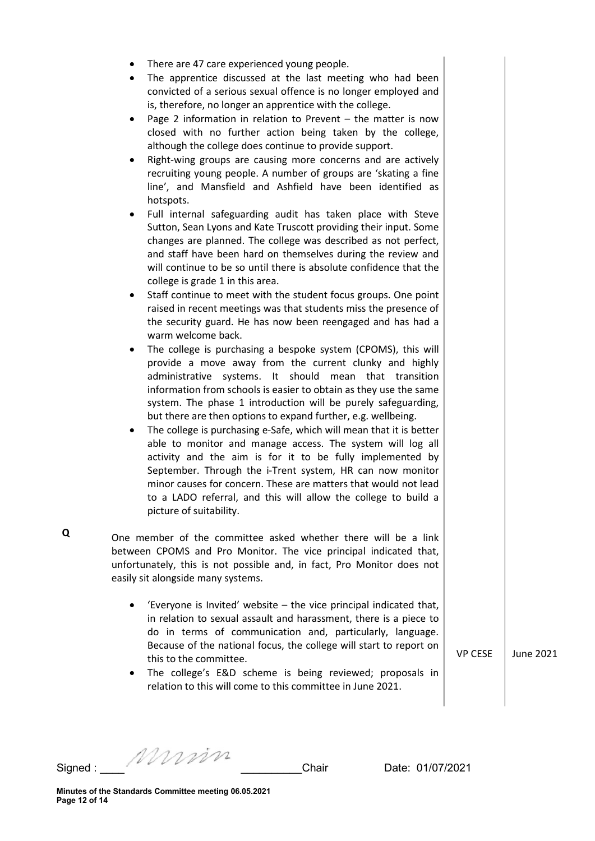- There are 47 care experienced young people.
- The apprentice discussed at the last meeting who had been convicted of a serious sexual offence is no longer employed and is, therefore, no longer an apprentice with the college.
- Page 2 information in relation to Prevent the matter is now closed with no further action being taken by the college, although the college does continue to provide support.
- Right-wing groups are causing more concerns and are actively recruiting young people. A number of groups are 'skating a fine line', and Mansfield and Ashfield have been identified as hotspots.
- Full internal safeguarding audit has taken place with Steve Sutton, Sean Lyons and Kate Truscott providing their input. Some changes are planned. The college was described as not perfect, and staff have been hard on themselves during the review and will continue to be so until there is absolute confidence that the college is grade 1 in this area.
- Staff continue to meet with the student focus groups. One point raised in recent meetings was that students miss the presence of the security guard. He has now been reengaged and has had a warm welcome back.
- The college is purchasing a bespoke system (CPOMS), this will provide a move away from the current clunky and highly administrative systems. It should mean that transition information from schools is easier to obtain as they use the same system. The phase 1 introduction will be purely safeguarding, but there are then options to expand further, e.g. wellbeing.
- The college is purchasing e-Safe, which will mean that it is better able to monitor and manage access. The system will log all activity and the aim is for it to be fully implemented by September. Through the i-Trent system, HR can now monitor minor causes for concern. These are matters that would not lead to a LADO referral, and this will allow the college to build a picture of suitability.

One member of the committee asked whether there will be a link between CPOMS and Pro Monitor. The vice principal indicated that, unfortunately, this is not possible and, in fact, Pro Monitor does not easily sit alongside many systems.

- 'Everyone is Invited' website the vice principal indicated that, in relation to sexual assault and harassment, there is a piece to do in terms of communication and, particularly, language. Because of the national focus, the college will start to report on this to the committee.
- The college's E&D scheme is being reviewed; proposals in relation to this will come to this committee in June 2021.

VP CESE June 2021

Q

Signed : \_\_\_\_ \_\_\_\_\_\_\_\_\_\_Chair Date: 01/07/2021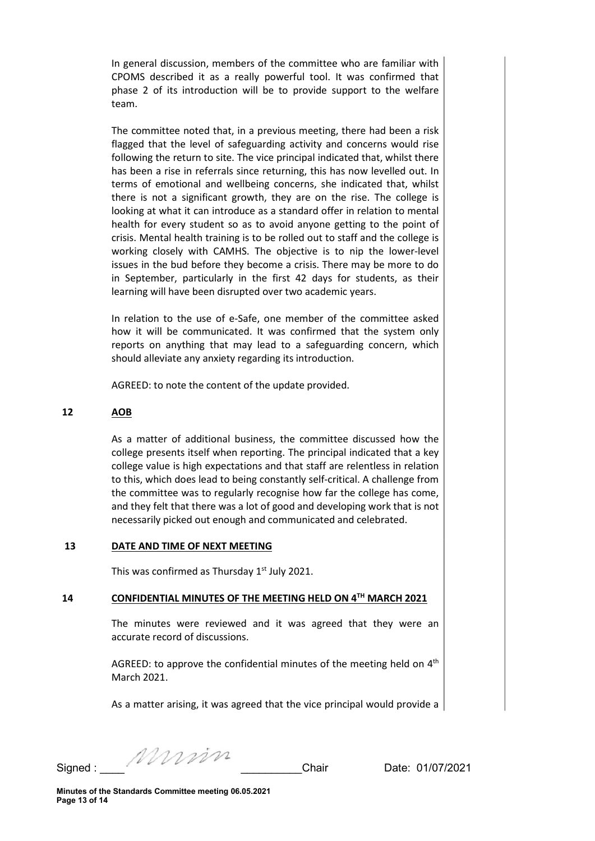In general discussion, members of the committee who are familiar with CPOMS described it as a really powerful tool. It was confirmed that phase 2 of its introduction will be to provide support to the welfare team.

The committee noted that, in a previous meeting, there had been a risk flagged that the level of safeguarding activity and concerns would rise following the return to site. The vice principal indicated that, whilst there has been a rise in referrals since returning, this has now levelled out. In terms of emotional and wellbeing concerns, she indicated that, whilst there is not a significant growth, they are on the rise. The college is looking at what it can introduce as a standard offer in relation to mental health for every student so as to avoid anyone getting to the point of crisis. Mental health training is to be rolled out to staff and the college is working closely with CAMHS. The objective is to nip the lower-level issues in the bud before they become a crisis. There may be more to do in September, particularly in the first 42 days for students, as their learning will have been disrupted over two academic years.

In relation to the use of e-Safe, one member of the committee asked how it will be communicated. It was confirmed that the system only reports on anything that may lead to a safeguarding concern, which should alleviate any anxiety regarding its introduction.

AGREED: to note the content of the update provided.

## 12 AOB

As a matter of additional business, the committee discussed how the college presents itself when reporting. The principal indicated that a key college value is high expectations and that staff are relentless in relation to this, which does lead to being constantly self-critical. A challenge from the committee was to regularly recognise how far the college has come, and they felt that there was a lot of good and developing work that is not necessarily picked out enough and communicated and celebrated.

#### 13 DATE AND TIME OF NEXT MEETING

This was confirmed as Thursday 1<sup>st</sup> July 2021.

### 14 CONFIDENTIAL MINUTES OF THE MEETING HELD ON 4<sup>TH</sup> MARCH 2021

The minutes were reviewed and it was agreed that they were an accurate record of discussions.

AGREED: to approve the confidential minutes of the meeting held on  $4<sup>th</sup>$ March 2021.

As a matter arising, it was agreed that the vice principal would provide a

Signed : \_\_\_\_ \_\_\_\_\_\_\_\_\_\_Chair Date: 01/07/2021